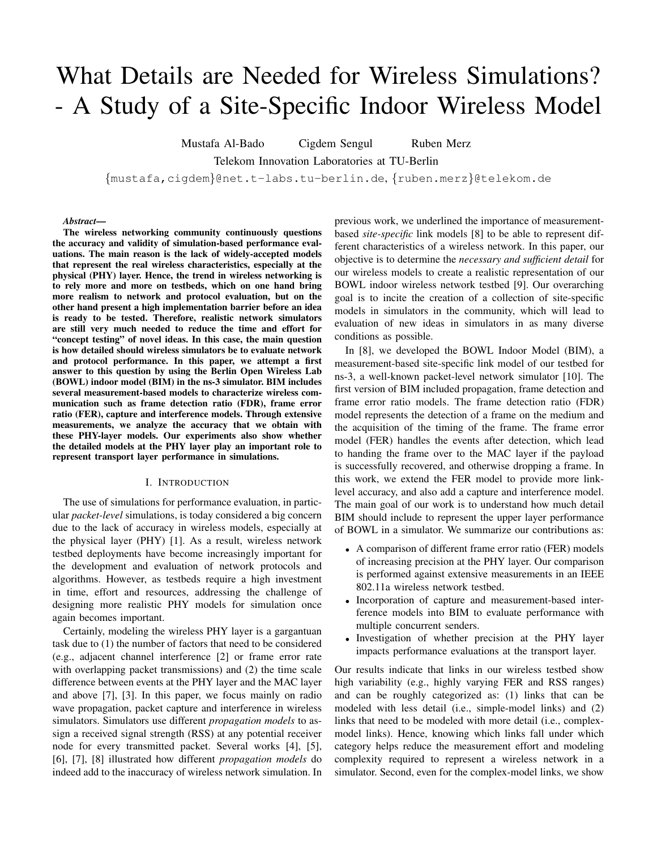# What Details are Needed for Wireless Simulations? - A Study of a Site-Specific Indoor Wireless Model

Mustafa Al-Bado Cigdem Sengul Ruben Merz

Telekom Innovation Laboratories at TU-Berlin

{mustafa,cigdem}@net.t-labs.tu-berlin.de, {ruben.merz}@telekom.de

#### *Abstract***—**

**The wireless networking community continuously questions the accuracy and validity of simulation-based performance evaluations. The main reason is the lack of widely-accepted models that represent the real wireless characteristics, especially at the physical (PHY) layer. Hence, the trend in wireless networking is to rely more and more on testbeds, which on one hand bring more realism to network and protocol evaluation, but on the other hand present a high implementation barrier before an idea is ready to be tested. Therefore, realistic network simulators are still very much needed to reduce the time and effort for "concept testing" of novel ideas. In this case, the main question is how detailed should wireless simulators be to evaluate network and protocol performance. In this paper, we attempt a first answer to this question by using the Berlin Open Wireless Lab (BOWL) indoor model (BIM) in the ns-3 simulator. BIM includes several measurement-based models to characterize wireless communication such as frame detection ratio (FDR), frame error ratio (FER), capture and interference models. Through extensive measurements, we analyze the accuracy that we obtain with these PHY-layer models. Our experiments also show whether the detailed models at the PHY layer play an important role to represent transport layer performance in simulations.**

# I. INTRODUCTION

The use of simulations for performance evaluation, in particular *packet-level* simulations, is today considered a big concern due to the lack of accuracy in wireless models, especially at the physical layer (PHY) [1]. As a result, wireless network testbed deployments have become increasingly important for the development and evaluation of network protocols and algorithms. However, as testbeds require a high investment in time, effort and resources, addressing the challenge of designing more realistic PHY models for simulation once again becomes important.

Certainly, modeling the wireless PHY layer is a gargantuan task due to (1) the number of factors that need to be considered (e.g., adjacent channel interference [2] or frame error rate with overlapping packet transmissions) and (2) the time scale difference between events at the PHY layer and the MAC layer and above [7], [3]. In this paper, we focus mainly on radio wave propagation, packet capture and interference in wireless simulators. Simulators use different *propagation models* to assign a received signal strength (RSS) at any potential receiver node for every transmitted packet. Several works [4], [5], [6], [7], [8] illustrated how different *propagation models* do indeed add to the inaccuracy of wireless network simulation. In

previous work, we underlined the importance of measurementbased *site-specific* link models [8] to be able to represent different characteristics of a wireless network. In this paper, our objective is to determine the *necessary and sufficient detail* for our wireless models to create a realistic representation of our BOWL indoor wireless network testbed [9]. Our overarching goal is to incite the creation of a collection of site-specific models in simulators in the community, which will lead to evaluation of new ideas in simulators in as many diverse conditions as possible.

In [8], we developed the BOWL Indoor Model (BIM), a measurement-based site-specific link model of our testbed for ns-3, a well-known packet-level network simulator [10]. The first version of BIM included propagation, frame detection and frame error ratio models. The frame detection ratio (FDR) model represents the detection of a frame on the medium and the acquisition of the timing of the frame. The frame error model (FER) handles the events after detection, which lead to handing the frame over to the MAC layer if the payload is successfully recovered, and otherwise dropping a frame. In this work, we extend the FER model to provide more linklevel accuracy, and also add a capture and interference model. The main goal of our work is to understand how much detail BIM should include to represent the upper layer performance of BOWL in a simulator. We summarize our contributions as:

- A comparison of different frame error ratio (FER) models of increasing precision at the PHY layer. Our comparison is performed against extensive measurements in an IEEE 802.11a wireless network testbed.
- Incorporation of capture and measurement-based interference models into BIM to evaluate performance with multiple concurrent senders.
- Investigation of whether precision at the PHY layer impacts performance evaluations at the transport layer.

Our results indicate that links in our wireless testbed show high variability (e.g., highly varying FER and RSS ranges) and can be roughly categorized as: (1) links that can be modeled with less detail (i.e., simple-model links) and (2) links that need to be modeled with more detail (i.e., complexmodel links). Hence, knowing which links fall under which category helps reduce the measurement effort and modeling complexity required to represent a wireless network in a simulator. Second, even for the complex-model links, we show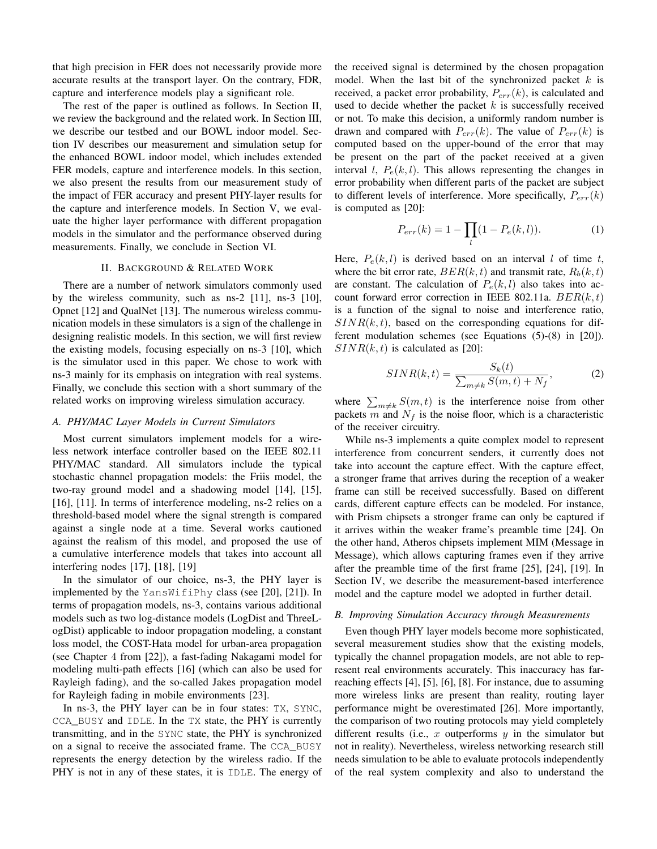that high precision in FER does not necessarily provide more accurate results at the transport layer. On the contrary, FDR, capture and interference models play a significant role.

The rest of the paper is outlined as follows. In Section II, we review the background and the related work. In Section III, we describe our testbed and our BOWL indoor model. Section IV describes our measurement and simulation setup for the enhanced BOWL indoor model, which includes extended FER models, capture and interference models. In this section, we also present the results from our measurement study of the impact of FER accuracy and present PHY-layer results for the capture and interference models. In Section V, we evaluate the higher layer performance with different propagation models in the simulator and the performance observed during measurements. Finally, we conclude in Section VI.

#### II. BACKGROUND & RELATED WORK

There are a number of network simulators commonly used by the wireless community, such as ns-2 [11], ns-3 [10], Opnet [12] and QualNet [13]. The numerous wireless communication models in these simulators is a sign of the challenge in designing realistic models. In this section, we will first review the existing models, focusing especially on ns-3 [10], which is the simulator used in this paper. We chose to work with ns-3 mainly for its emphasis on integration with real systems. Finally, we conclude this section with a short summary of the related works on improving wireless simulation accuracy.

## *A. PHY/MAC Layer Models in Current Simulators*

Most current simulators implement models for a wireless network interface controller based on the IEEE 802.11 PHY/MAC standard. All simulators include the typical stochastic channel propagation models: the Friis model, the two-ray ground model and a shadowing model [14], [15], [16], [11]. In terms of interference modeling, ns-2 relies on a threshold-based model where the signal strength is compared against a single node at a time. Several works cautioned against the realism of this model, and proposed the use of a cumulative interference models that takes into account all interfering nodes [17], [18], [19]

In the simulator of our choice, ns-3, the PHY layer is implemented by the YansWifiPhy class (see [20], [21]). In terms of propagation models, ns-3, contains various additional models such as two log-distance models (LogDist and ThreeLogDist) applicable to indoor propagation modeling, a constant loss model, the COST-Hata model for urban-area propagation (see Chapter 4 from [22]), a fast-fading Nakagami model for modeling multi-path effects [16] (which can also be used for Rayleigh fading), and the so-called Jakes propagation model for Rayleigh fading in mobile environments [23].

In ns-3, the PHY layer can be in four states: TX, SYNC, CCA\_BUSY and IDLE. In the TX state, the PHY is currently transmitting, and in the SYNC state, the PHY is synchronized on a signal to receive the associated frame. The CCA\_BUSY represents the energy detection by the wireless radio. If the PHY is not in any of these states, it is IDLE. The energy of the received signal is determined by the chosen propagation model. When the last bit of the synchronized packet  $k$  is received, a packet error probability,  $P_{err}(k)$ , is calculated and used to decide whether the packet  $k$  is successfully received or not. To make this decision, a uniformly random number is drawn and compared with  $P_{err}(k)$ . The value of  $P_{err}(k)$  is computed based on the upper-bound of the error that may be present on the part of the packet received at a given interval l,  $P_e(k, l)$ . This allows representing the changes in error probability when different parts of the packet are subject to different levels of interference. More specifically,  $P_{err}(k)$ is computed as [20]:

$$
P_{err}(k) = 1 - \prod_{l} (1 - P_e(k, l)).
$$
 (1)

Here,  $P_e(k, l)$  is derived based on an interval l of time t, where the bit error rate,  $BER(k, t)$  and transmit rate,  $R_b(k, t)$ are constant. The calculation of  $P_e(k, l)$  also takes into account forward error correction in IEEE 802.11a.  $BER(k, t)$ is a function of the signal to noise and interference ratio,  $SINR(k, t)$ , based on the corresponding equations for different modulation schemes (see Equations (5)-(8) in [20]).  $SINR(k, t)$  is calculated as [20]:

$$
SINR(k,t) = \frac{S_k(t)}{\sum_{m \neq k} S(m,t) + N_f},\tag{2}
$$

where  $\sum_{m \neq k} S(m, t)$  is the interference noise from other packets m and  $N_f$  is the noise floor, which is a characteristic of the receiver circuitry.

While ns-3 implements a quite complex model to represent interference from concurrent senders, it currently does not take into account the capture effect. With the capture effect, a stronger frame that arrives during the reception of a weaker frame can still be received successfully. Based on different cards, different capture effects can be modeled. For instance, with Prism chipsets a stronger frame can only be captured if it arrives within the weaker frame's preamble time [24]. On the other hand, Atheros chipsets implement MIM (Message in Message), which allows capturing frames even if they arrive after the preamble time of the first frame [25], [24], [19]. In Section IV, we describe the measurement-based interference model and the capture model we adopted in further detail.

#### *B. Improving Simulation Accuracy through Measurements*

Even though PHY layer models become more sophisticated, several measurement studies show that the existing models, typically the channel propagation models, are not able to represent real environments accurately. This inaccuracy has farreaching effects [4], [5], [6], [8]. For instance, due to assuming more wireless links are present than reality, routing layer performance might be overestimated [26]. More importantly, the comparison of two routing protocols may yield completely different results (i.e., x outperforms  $y$  in the simulator but not in reality). Nevertheless, wireless networking research still needs simulation to be able to evaluate protocols independently of the real system complexity and also to understand the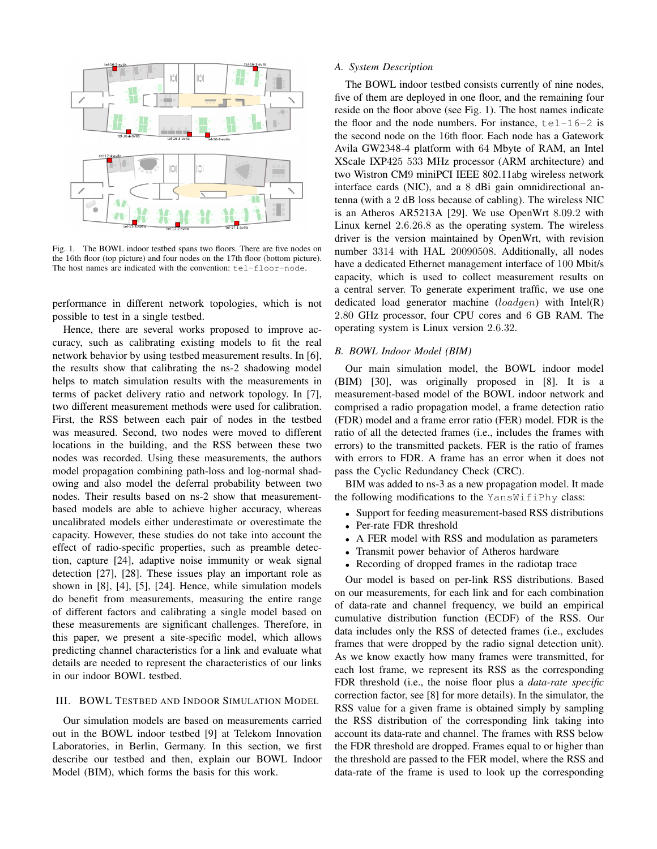

Fig. 1. The BOWL indoor testbed spans two floors. There are five nodes on the 16th floor (top picture) and four nodes on the 17th floor (bottom picture). The host names are indicated with the convention: tel-floor-node.

performance in different network topologies, which is not possible to test in a single testbed.

Hence, there are several works proposed to improve accuracy, such as calibrating existing models to fit the real network behavior by using testbed measurement results. In [6], the results show that calibrating the ns-2 shadowing model helps to match simulation results with the measurements in terms of packet delivery ratio and network topology. In [7], two different measurement methods were used for calibration. First, the RSS between each pair of nodes in the testbed was measured. Second, two nodes were moved to different locations in the building, and the RSS between these two nodes was recorded. Using these measurements, the authors model propagation combining path-loss and log-normal shadowing and also model the deferral probability between two nodes. Their results based on ns-2 show that measurementbased models are able to achieve higher accuracy, whereas uncalibrated models either underestimate or overestimate the capacity. However, these studies do not take into account the effect of radio-specific properties, such as preamble detection, capture [24], adaptive noise immunity or weak signal detection [27], [28]. These issues play an important role as shown in [8], [4], [5], [24]. Hence, while simulation models do benefit from measurements, measuring the entire range of different factors and calibrating a single model based on these measurements are significant challenges. Therefore, in this paper, we present a site-specific model, which allows predicting channel characteristics for a link and evaluate what details are needed to represent the characteristics of our links in our indoor BOWL testbed.

# III. BOWL TESTBED AND INDOOR SIMULATION MODEL

Our simulation models are based on measurements carried out in the BOWL indoor testbed [9] at Telekom Innovation Laboratories, in Berlin, Germany. In this section, we first describe our testbed and then, explain our BOWL Indoor Model (BIM), which forms the basis for this work.

## *A. System Description*

The BOWL indoor testbed consists currently of nine nodes, five of them are deployed in one floor, and the remaining four reside on the floor above (see Fig. 1). The host names indicate the floor and the node numbers. For instance,  $te1-16-2$  is the second node on the 16th floor. Each node has a Gatework Avila GW2348-4 platform with 64 Mbyte of RAM, an Intel XScale IXP425 533 MHz processor (ARM architecture) and two Wistron CM9 miniPCI IEEE 802.11abg wireless network interface cards (NIC), and a 8 dBi gain omnidirectional antenna (with a 2 dB loss because of cabling). The wireless NIC is an Atheros AR5213A [29]. We use OpenWrt 8.09.2 with Linux kernel 2.6.26.8 as the operating system. The wireless driver is the version maintained by OpenWrt, with revision number 3314 with HAL 20090508. Additionally, all nodes have a dedicated Ethernet management interface of 100 Mbit/s capacity, which is used to collect measurement results on a central server. To generate experiment traffic, we use one dedicated load generator machine (loadgen) with Intel(R) 2.80 GHz processor, four CPU cores and 6 GB RAM. The operating system is Linux version 2.6.32.

## *B. BOWL Indoor Model (BIM)*

Our main simulation model, the BOWL indoor model (BIM) [30], was originally proposed in [8]. It is a measurement-based model of the BOWL indoor network and comprised a radio propagation model, a frame detection ratio (FDR) model and a frame error ratio (FER) model. FDR is the ratio of all the detected frames (i.e., includes the frames with errors) to the transmitted packets. FER is the ratio of frames with errors to FDR. A frame has an error when it does not pass the Cyclic Redundancy Check (CRC).

BIM was added to ns-3 as a new propagation model. It made the following modifications to the YansWifiPhy class:

- Support for feeding measurement-based RSS distributions
- Per-rate FDR threshold
- A FER model with RSS and modulation as parameters
- Transmit power behavior of Atheros hardware
- Recording of dropped frames in the radiotap trace

Our model is based on per-link RSS distributions. Based on our measurements, for each link and for each combination of data-rate and channel frequency, we build an empirical cumulative distribution function (ECDF) of the RSS. Our data includes only the RSS of detected frames (i.e., excludes frames that were dropped by the radio signal detection unit). As we know exactly how many frames were transmitted, for each lost frame, we represent its RSS as the corresponding FDR threshold (i.e., the noise floor plus a *data-rate specific* correction factor, see [8] for more details). In the simulator, the RSS value for a given frame is obtained simply by sampling the RSS distribution of the corresponding link taking into account its data-rate and channel. The frames with RSS below the FDR threshold are dropped. Frames equal to or higher than the threshold are passed to the FER model, where the RSS and data-rate of the frame is used to look up the corresponding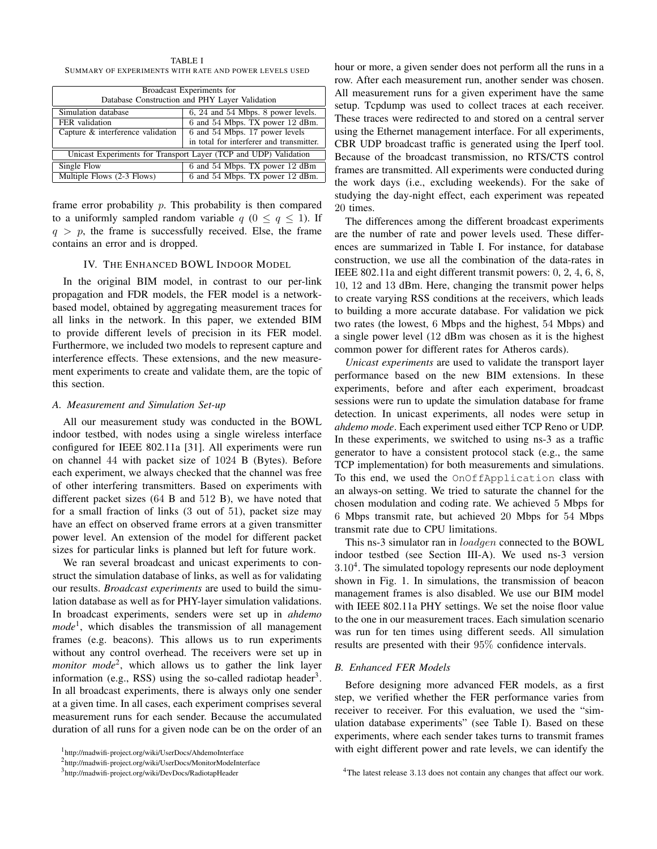TABLE I SUMMARY OF EXPERIMENTS WITH RATE AND POWER LEVELS USED

| Broadcast Experiments for                                        |                                          |  |  |  |  |
|------------------------------------------------------------------|------------------------------------------|--|--|--|--|
| Database Construction and PHY Layer Validation                   |                                          |  |  |  |  |
| Simulation database                                              | 6, 24 and 54 Mbps. 8 power levels.       |  |  |  |  |
| FER validation                                                   | 6 and 54 Mbps. TX power 12 dBm.          |  |  |  |  |
| Capture & interference validation                                | 6 and 54 Mbps. 17 power levels           |  |  |  |  |
|                                                                  | in total for interferer and transmitter. |  |  |  |  |
| Unicast Experiments for Transport Layer (TCP and UDP) Validation |                                          |  |  |  |  |
| Single Flow                                                      | 6 and 54 Mbps. TX power 12 dBm           |  |  |  |  |
| Multiple Flows (2-3 Flows)                                       | 6 and 54 Mbps. TX power 12 dBm.          |  |  |  |  |

frame error probability  $p$ . This probability is then compared to a uniformly sampled random variable  $q$  ( $0 \le q \le 1$ ). If  $q > p$ , the frame is successfully received. Else, the frame contains an error and is dropped.

# IV. THE ENHANCED BOWL INDOOR MODEL

In the original BIM model, in contrast to our per-link propagation and FDR models, the FER model is a networkbased model, obtained by aggregating measurement traces for all links in the network. In this paper, we extended BIM to provide different levels of precision in its FER model. Furthermore, we included two models to represent capture and interference effects. These extensions, and the new measurement experiments to create and validate them, are the topic of this section.

## *A. Measurement and Simulation Set-up*

All our measurement study was conducted in the BOWL indoor testbed, with nodes using a single wireless interface configured for IEEE 802.11a [31]. All experiments were run on channel 44 with packet size of 1024 B (Bytes). Before each experiment, we always checked that the channel was free of other interfering transmitters. Based on experiments with different packet sizes (64 B and 512 B), we have noted that for a small fraction of links (3 out of 51), packet size may have an effect on observed frame errors at a given transmitter power level. An extension of the model for different packet sizes for particular links is planned but left for future work.

We ran several broadcast and unicast experiments to construct the simulation database of links, as well as for validating our results. *Broadcast experiments* are used to build the simulation database as well as for PHY-layer simulation validations. In broadcast experiments, senders were set up in *ahdemo mode*<sup>1</sup> , which disables the transmission of all management frames (e.g. beacons). This allows us to run experiments without any control overhead. The receivers were set up in *monitor mode*<sup>2</sup> , which allows us to gather the link layer information (e.g., RSS) using the so-called radiotap header<sup>3</sup>. In all broadcast experiments, there is always only one sender at a given time. In all cases, each experiment comprises several measurement runs for each sender. Because the accumulated duration of all runs for a given node can be on the order of an hour or more, a given sender does not perform all the runs in a row. After each measurement run, another sender was chosen. All measurement runs for a given experiment have the same setup. Tcpdump was used to collect traces at each receiver. These traces were redirected to and stored on a central server using the Ethernet management interface. For all experiments, CBR UDP broadcast traffic is generated using the Iperf tool. Because of the broadcast transmission, no RTS/CTS control frames are transmitted. All experiments were conducted during the work days (i.e., excluding weekends). For the sake of studying the day-night effect, each experiment was repeated 20 times.

The differences among the different broadcast experiments are the number of rate and power levels used. These differences are summarized in Table I. For instance, for database construction, we use all the combination of the data-rates in IEEE 802.11a and eight different transmit powers: 0, 2, 4, 6, 8, 10, 12 and 13 dBm. Here, changing the transmit power helps to create varying RSS conditions at the receivers, which leads to building a more accurate database. For validation we pick two rates (the lowest, 6 Mbps and the highest, 54 Mbps) and a single power level (12 dBm was chosen as it is the highest common power for different rates for Atheros cards).

*Unicast experiments* are used to validate the transport layer performance based on the new BIM extensions. In these experiments, before and after each experiment, broadcast sessions were run to update the simulation database for frame detection. In unicast experiments, all nodes were setup in *ahdemo mode*. Each experiment used either TCP Reno or UDP. In these experiments, we switched to using ns-3 as a traffic generator to have a consistent protocol stack (e.g., the same TCP implementation) for both measurements and simulations. To this end, we used the OnOffApplication class with an always-on setting. We tried to saturate the channel for the chosen modulation and coding rate. We achieved 5 Mbps for 6 Mbps transmit rate, but achieved 20 Mbps for 54 Mbps transmit rate due to CPU limitations.

This ns-3 simulator ran in loadgen connected to the BOWL indoor testbed (see Section III-A). We used ns-3 version  $3.10<sup>4</sup>$ . The simulated topology represents our node deployment shown in Fig. 1. In simulations, the transmission of beacon management frames is also disabled. We use our BIM model with IEEE 802.11a PHY settings. We set the noise floor value to the one in our measurement traces. Each simulation scenario was run for ten times using different seeds. All simulation results are presented with their 95% confidence intervals.

# *B. Enhanced FER Models*

Before designing more advanced FER models, as a first step, we verified whether the FER performance varies from receiver to receiver. For this evaluation, we used the "simulation database experiments" (see Table I). Based on these experiments, where each sender takes turns to transmit frames with eight different power and rate levels, we can identify the

<sup>1</sup> http://madwifi-project.org/wiki/UserDocs/AhdemoInterface

<sup>2</sup> http://madwifi-project.org/wiki/UserDocs/MonitorModeInterface

<sup>3</sup> http://madwifi-project.org/wiki/DevDocs/RadiotapHeader

<sup>4</sup>The latest release 3.13 does not contain any changes that affect our work.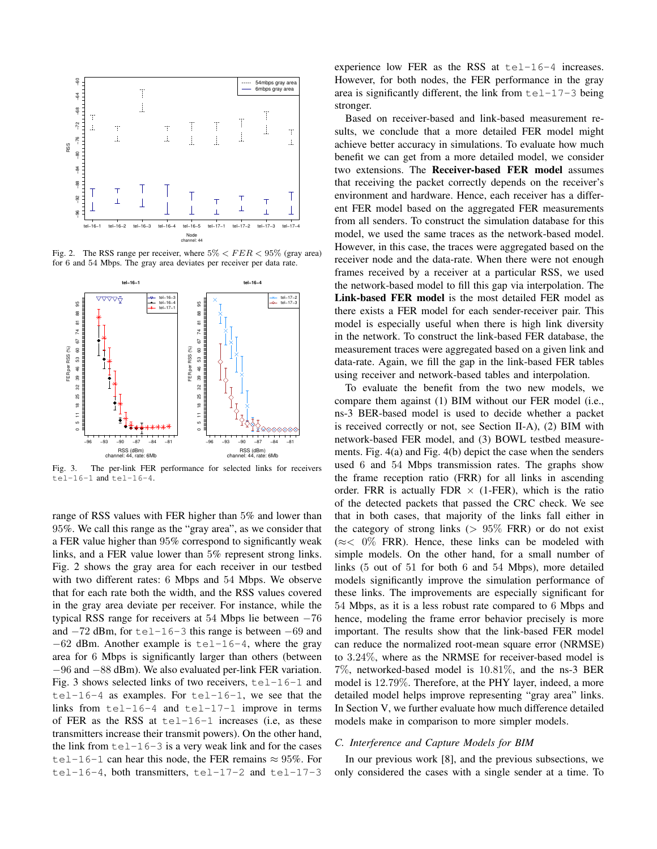

Fig. 2. The RSS range per receiver, where  $5\% < FER < 95\%$  (gray area) for 6 and 54 Mbps. The gray area deviates per receiver per data rate.



Fig. 3. The per-link FER performance for selected links for receivers tel-16-1 and tel-16-4.

range of RSS values with FER higher than 5% and lower than 95%. We call this range as the "gray area", as we consider that a FER value higher than 95% correspond to significantly weak links, and a FER value lower than 5% represent strong links. Fig. 2 shows the gray area for each receiver in our testbed with two different rates: 6 Mbps and 54 Mbps. We observe that for each rate both the width, and the RSS values covered in the gray area deviate per receiver. For instance, while the typical RSS range for receivers at 54 Mbps lie between −76 and −72 dBm, for tel-16-3 this range is between −69 and  $-62$  dBm. Another example is tel-16-4, where the gray area for 6 Mbps is significantly larger than others (between −96 and −88 dBm). We also evaluated per-link FER variation. Fig. 3 shows selected links of two receivers, tel-16-1 and  $tel-16-4$  as examples. For  $tel-16-1$ , we see that the links from tel-16-4 and tel-17-1 improve in terms of FER as the RSS at tel-16-1 increases (i.e, as these transmitters increase their transmit powers). On the other hand, the link from  $te1-16-3$  is a very weak link and for the cases tel-16-1 can hear this node, the FER remains  $\approx 95\%$ . For tel-16-4, both transmitters, tel-17-2 and tel-17-3

experience low FER as the RSS at  $te1-16-4$  increases. However, for both nodes, the FER performance in the gray area is significantly different, the link from  $te1-17-3$  being stronger.

Based on receiver-based and link-based measurement results, we conclude that a more detailed FER model might achieve better accuracy in simulations. To evaluate how much benefit we can get from a more detailed model, we consider two extensions. The **Receiver-based FER model** assumes that receiving the packet correctly depends on the receiver's environment and hardware. Hence, each receiver has a different FER model based on the aggregated FER measurements from all senders. To construct the simulation database for this model, we used the same traces as the network-based model. However, in this case, the traces were aggregated based on the receiver node and the data-rate. When there were not enough frames received by a receiver at a particular RSS, we used the network-based model to fill this gap via interpolation. The **Link-based FER model** is the most detailed FER model as there exists a FER model for each sender-receiver pair. This model is especially useful when there is high link diversity in the network. To construct the link-based FER database, the measurement traces were aggregated based on a given link and data-rate. Again, we fill the gap in the link-based FER tables using receiver and network-based tables and interpolation.

To evaluate the benefit from the two new models, we compare them against (1) BIM without our FER model (i.e., ns-3 BER-based model is used to decide whether a packet is received correctly or not, see Section II-A), (2) BIM with network-based FER model, and (3) BOWL testbed measurements. Fig. 4(a) and Fig. 4(b) depict the case when the senders used 6 and 54 Mbps transmission rates. The graphs show the frame reception ratio (FRR) for all links in ascending order. FRR is actually FDR  $\times$  (1-FER), which is the ratio of the detected packets that passed the CRC check. We see that in both cases, that majority of the links fall either in the category of strong links ( $> 95\%$  FRR) or do not exist ( $≈$ < 0% FRR). Hence, these links can be modeled with simple models. On the other hand, for a small number of links (5 out of 51 for both 6 and 54 Mbps), more detailed models significantly improve the simulation performance of these links. The improvements are especially significant for 54 Mbps, as it is a less robust rate compared to 6 Mbps and hence, modeling the frame error behavior precisely is more important. The results show that the link-based FER model can reduce the normalized root-mean square error (NRMSE) to 3.24%, where as the NRMSE for receiver-based model is 7%, networked-based model is 10.81%, and the ns-3 BER model is 12.79%. Therefore, at the PHY layer, indeed, a more detailed model helps improve representing "gray area" links. In Section V, we further evaluate how much difference detailed models make in comparison to more simpler models.

# *C. Interference and Capture Models for BIM*

In our previous work [8], and the previous subsections, we only considered the cases with a single sender at a time. To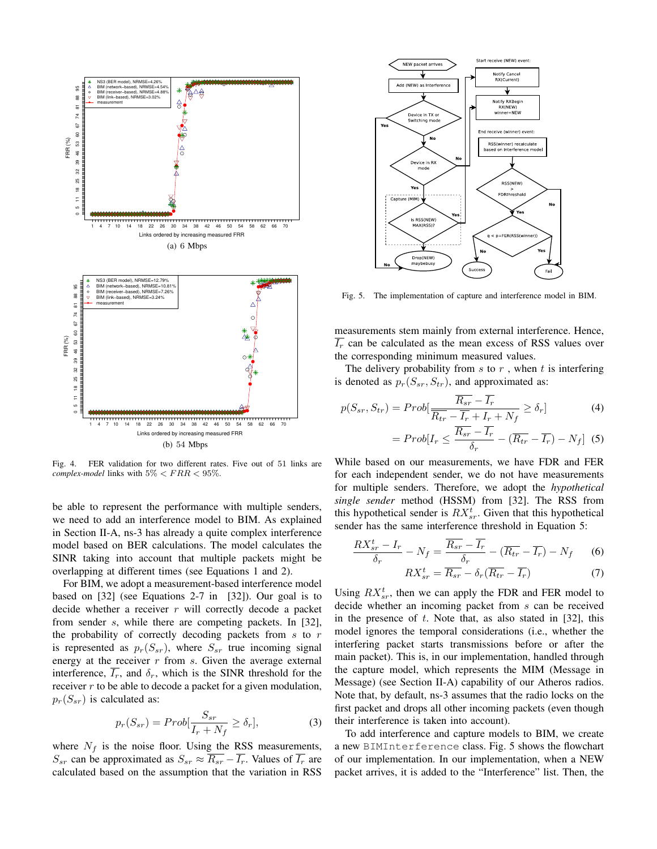

Fig. 4. FER validation for two different rates. Five out of 51 links are *complex-model* links with 5% < FRR < 95%.

be able to represent the performance with multiple senders, we need to add an interference model to BIM. As explained in Section II-A, ns-3 has already a quite complex interference model based on BER calculations. The model calculates the SINR taking into account that multiple packets might be overlapping at different times (see Equations 1 and 2).

For BIM, we adopt a measurement-based interference model based on [32] (see Equations 2-7 in [32]). Our goal is to decide whether a receiver  $r$  will correctly decode a packet from sender s, while there are competing packets. In [32], the probability of correctly decoding packets from  $s$  to  $r$ is represented as  $p_r(S_{sr})$ , where  $S_{sr}$  true incoming signal energy at the receiver  $r$  from  $s$ . Given the average external interference,  $\overline{I_r}$ , and  $\delta_r$ , which is the SINR threshold for the receiver  $r$  to be able to decode a packet for a given modulation,  $p_r(S_{sr})$  is calculated as:

$$
p_r(S_{sr}) = Prob[\frac{S_{sr}}{I_r + N_f} \ge \delta_r],\tag{3}
$$

where  $N_f$  is the noise floor. Using the RSS measurements,  $S_{sr}$  can be approximated as  $S_{sr} \approx \overline{R_{sr}} - \overline{I_r}$ . Values of  $\overline{I_r}$  are calculated based on the assumption that the variation in RSS



Fig. 5. The implementation of capture and interference model in BIM.

measurements stem mainly from external interference. Hence,  $\overline{I_r}$  can be calculated as the mean excess of RSS values over the corresponding minimum measured values.

The delivery probability from  $s$  to  $r$ , when  $t$  is interfering is denoted as  $p_r(S_{sr}, S_{tr})$ , and approximated as:

$$
p(S_{sr}, S_{tr}) = Prob[\frac{\overline{R_{sr}} - \overline{I_r}}{\overline{R_{tr}} - \overline{I_r} + \overline{I_r} + N_f} \ge \delta_r]
$$
(4)

$$
= Prob[I_r \le \frac{\overline{R_{sr}} - \overline{I_r}}{\delta_r} - (\overline{R_{tr}} - \overline{I_r}) - N_f] (5)
$$

While based on our measurements, we have FDR and FER for each independent sender, we do not have measurements for multiple senders. Therefore, we adopt the *hypothetical single sender* method (HSSM) from [32]. The RSS from this hypothetical sender is  $RX_{sr}^t$ . Given that this hypothetical sender has the same interference threshold in Equation 5:

$$
\frac{RX_{sr}^{t} - I_r}{\delta_r} - N_f = \frac{\overline{R_{sr}} - \overline{I_r}}{\delta_r} - (\overline{R_{tr}} - \overline{I_r}) - N_f \tag{6}
$$

$$
RX_{sr}^{t} = \overline{R_{sr}} - \delta_r(\overline{R_{tr}} - \overline{I_r})
$$
\n(7)

Using  $RX_{sr}^t$ , then we can apply the FDR and FER model to decide whether an incoming packet from s can be received in the presence of  $t$ . Note that, as also stated in [32], this model ignores the temporal considerations (i.e., whether the interfering packet starts transmissions before or after the main packet). This is, in our implementation, handled through the capture model, which represents the MIM (Message in Message) (see Section II-A) capability of our Atheros radios. Note that, by default, ns-3 assumes that the radio locks on the first packet and drops all other incoming packets (even though their interference is taken into account).

To add interference and capture models to BIM, we create a new BIMInterference class. Fig. 5 shows the flowchart of our implementation. In our implementation, when a NEW packet arrives, it is added to the "Interference" list. Then, the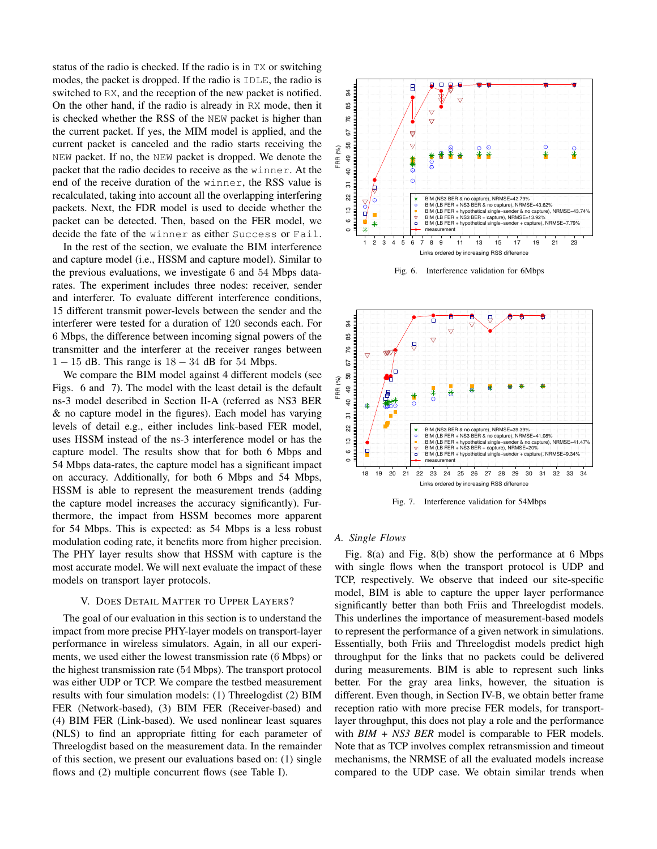status of the radio is checked. If the radio is in TX or switching modes, the packet is dropped. If the radio is IDLE, the radio is switched to RX, and the reception of the new packet is notified. On the other hand, if the radio is already in RX mode, then it is checked whether the RSS of the NEW packet is higher than the current packet. If yes, the MIM model is applied, and the current packet is canceled and the radio starts receiving the NEW packet. If no, the NEW packet is dropped. We denote the packet that the radio decides to receive as the winner. At the end of the receive duration of the winner, the RSS value is recalculated, taking into account all the overlapping interfering packets. Next, the FDR model is used to decide whether the packet can be detected. Then, based on the FER model, we decide the fate of the winner as either Success or Fail.

In the rest of the section, we evaluate the BIM interference and capture model (i.e., HSSM and capture model). Similar to the previous evaluations, we investigate 6 and 54 Mbps datarates. The experiment includes three nodes: receiver, sender and interferer. To evaluate different interference conditions, 15 different transmit power-levels between the sender and the interferer were tested for a duration of 120 seconds each. For 6 Mbps, the difference between incoming signal powers of the transmitter and the interferer at the receiver ranges between 1 − 15 dB. This range is 18 − 34 dB for 54 Mbps.

We compare the BIM model against 4 different models (see Figs. 6 and 7). The model with the least detail is the default ns-3 model described in Section II-A (referred as NS3 BER & no capture model in the figures). Each model has varying levels of detail e.g., either includes link-based FER model, uses HSSM instead of the ns-3 interference model or has the capture model. The results show that for both 6 Mbps and 54 Mbps data-rates, the capture model has a significant impact on accuracy. Additionally, for both 6 Mbps and 54 Mbps, HSSM is able to represent the measurement trends (adding the capture model increases the accuracy significantly). Furthermore, the impact from HSSM becomes more apparent for 54 Mbps. This is expected: as 54 Mbps is a less robust modulation coding rate, it benefits more from higher precision. The PHY layer results show that HSSM with capture is the most accurate model. We will next evaluate the impact of these models on transport layer protocols.

# V. DOES DETAIL MATTER TO UPPER LAYERS?

The goal of our evaluation in this section is to understand the impact from more precise PHY-layer models on transport-layer performance in wireless simulators. Again, in all our experiments, we used either the lowest transmission rate (6 Mbps) or the highest transmission rate (54 Mbps). The transport protocol was either UDP or TCP. We compare the testbed measurement results with four simulation models: (1) Threelogdist (2) BIM FER (Network-based), (3) BIM FER (Receiver-based) and (4) BIM FER (Link-based). We used nonlinear least squares (NLS) to find an appropriate fitting for each parameter of Threelogdist based on the measurement data. In the remainder of this section, we present our evaluations based on: (1) single flows and (2) multiple concurrent flows (see Table I).



Fig. 6. Interference validation for 6Mbps



Fig. 7. Interference validation for 54Mbps

## *A. Single Flows*

Fig. 8(a) and Fig. 8(b) show the performance at 6 Mbps with single flows when the transport protocol is UDP and TCP, respectively. We observe that indeed our site-specific model, BIM is able to capture the upper layer performance significantly better than both Friis and Threelogdist models. This underlines the importance of measurement-based models to represent the performance of a given network in simulations. Essentially, both Friis and Threelogdist models predict high throughput for the links that no packets could be delivered during measurements. BIM is able to represent such links better. For the gray area links, however, the situation is different. Even though, in Section IV-B, we obtain better frame reception ratio with more precise FER models, for transportlayer throughput, this does not play a role and the performance with *BIM + NS3 BER* model is comparable to FER models. Note that as TCP involves complex retransmission and timeout mechanisms, the NRMSE of all the evaluated models increase compared to the UDP case. We obtain similar trends when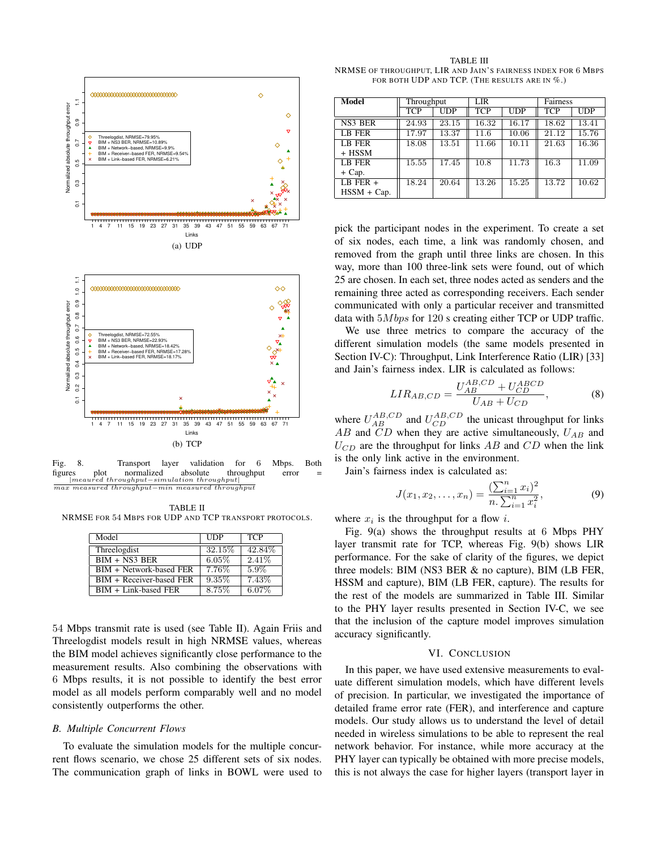

Fig. 8. Transport layer validation for 6 Mbps. Both figures plot normalized absolute throughput error =<br> $\frac{|mean area}{mean read throughput -sim1 mean at hroughput}$ 

TABLE II NRMSE FOR 54 MBPS FOR UDP AND TCP TRANSPORT PROTOCOLS.

| Model                    | <b>UDP</b> | <b>TCP</b> |
|--------------------------|------------|------------|
| Threelogdist             | 32.15%     | 42.84%     |
| $BIM + NS3 BER$          | $6.05\%$   | 2.41%      |
| BIM + Network-based FER  | 7.76%      | $5.9\%$    |
| BIM + Receiver-based FER | 9.35%      | 7.43%      |
| BIM + Link-based FER     | 8.75%      | 6.07%      |

54 Mbps transmit rate is used (see Table II). Again Friis and Threelogdist models result in high NRMSE values, whereas the BIM model achieves significantly close performance to the measurement results. Also combining the observations with 6 Mbps results, it is not possible to identify the best error model as all models perform comparably well and no model consistently outperforms the other.

#### *B. Multiple Concurrent Flows*

To evaluate the simulation models for the multiple concurrent flows scenario, we chose 25 different sets of six nodes. The communication graph of links in BOWL were used to

TABLE III NRMSE OF THROUGHPUT, LIR AND JAIN'S FAIRNESS INDEX FOR 6 MBPS FOR BOTH UDP AND TCP. (THE RESULTS ARE IN %.)

| Model         | Throughput |                         | LIR        |            | Fairness |       |
|---------------|------------|-------------------------|------------|------------|----------|-------|
|               | <b>TCP</b> | $\overline{\text{UDP}}$ | <b>TCP</b> | <b>UDP</b> | TCP      | UDP   |
| NS3 BER       | 24.93      | 23.15                   | 16.32      | 16.17      | 18.62    | 13.41 |
| LB FER        | 17.97      | 13.37                   | 11.6       | 10.06      | 21.12    | 15.76 |
| LB FER        | 18.08      | 13.51                   | 11.66      | 10.11      | 21.63    | 16.36 |
| + HSSM        |            |                         |            |            |          |       |
| LB FER        | 15.55      | 17.45                   | 10.8       | 11.73      | 16.3     | 11.09 |
| $+ Cap.$      |            |                         |            |            |          |       |
| $LB$ FER $+$  | 18.24      | 20.64                   | 13.26      | 15.25      | 13.72    | 10.62 |
| $HSSM + Cap.$ |            |                         |            |            |          |       |

pick the participant nodes in the experiment. To create a set of six nodes, each time, a link was randomly chosen, and removed from the graph until three links are chosen. In this way, more than 100 three-link sets were found, out of which 25 are chosen. In each set, three nodes acted as senders and the remaining three acted as corresponding receivers. Each sender communicated with only a particular receiver and transmitted data with  $5Mbps$  for  $120$  s creating either TCP or UDP traffic.

We use three metrics to compare the accuracy of the different simulation models (the same models presented in Section IV-C): Throughput, Link Interference Ratio (LIR) [33] and Jain's fairness index. LIR is calculated as follows:

$$
LIR_{AB,CD} = \frac{U_{AB}^{AB,CD} + U_{CD}^{ABCD}}{U_{AB} + U_{CD}},\tag{8}
$$

where  $U_{AB}^{AB,CD}$  and  $U_{CD}^{AB,CD}$  the unicast throughput for links  $AB$  and  $CD$  when they are active simultaneously,  $U_{AB}$  and  $U_{CD}$  are the throughput for links AB and CD when the link is the only link active in the environment.

Jain's fairness index is calculated as:

$$
J(x_1, x_2, \dots, x_n) = \frac{\left(\sum_{i=1}^n x_i\right)^2}{n \cdot \sum_{i=1}^n x_i^2},\tag{9}
$$

where  $x_i$  is the throughput for a flow i.

Fig. 9(a) shows the throughput results at 6 Mbps PHY layer transmit rate for TCP, whereas Fig. 9(b) shows LIR performance. For the sake of clarity of the figures, we depict three models: BIM (NS3 BER & no capture), BIM (LB FER, HSSM and capture), BIM (LB FER, capture). The results for the rest of the models are summarized in Table III. Similar to the PHY layer results presented in Section IV-C, we see that the inclusion of the capture model improves simulation accuracy significantly.

# VI. CONCLUSION

In this paper, we have used extensive measurements to evaluate different simulation models, which have different levels of precision. In particular, we investigated the importance of detailed frame error rate (FER), and interference and capture models. Our study allows us to understand the level of detail needed in wireless simulations to be able to represent the real network behavior. For instance, while more accuracy at the PHY layer can typically be obtained with more precise models, this is not always the case for higher layers (transport layer in